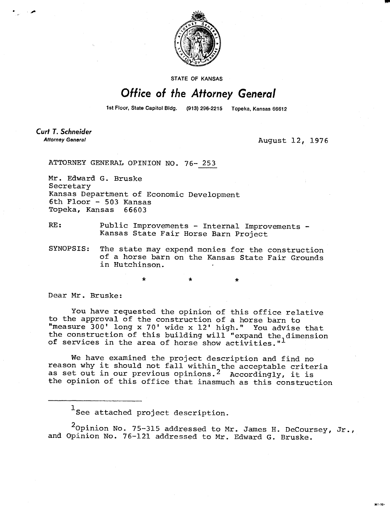

**STATE OF KANSAS** 

## Office of the Attorney General

1st Floor, State Capitol Bldg. (913) 296-2215 Topeka, Kansas 66612

**Curt T. Schneider Attorney General** 

August 12, 1976

ATTORNEY GENERAL OPINION NO. 76- 253

Mr. Edward G. Bruske Secretary Kansas Department of Economic Development 6th Floor - 503 Kansas Topeka, Kansas 66603

RE: Public Improvements - Internal Improvements -Kansas State Fair Horse Barn Project

SYNOPSIS: The state may expend monies for the construction of a horse barn on the Kansas State Fair Grounds in Hutchinson.

Dear Mr. Bruske:

You have requested the opinion of this office relative to the approval of the construction of a horse barn to "measure 300' long x 70' wide x 12' high." You advise that the construction of this building will "expand the dimension of services in the area of horse show activities."<sup>1</sup>

We have examined the project description and find no reason why it should not fall within the acceptable criteria as set out in our previous opinions.<sup>2</sup> Accordingly, it is the opinion of this office that inasmuch as this construction

 $^{\rm 1}$ See attached project description.

 $2$ Opinion No. 75-315 addressed to Mr. James H. DeCoursey, Jr., and Opinion No. 76-121 addressed to Mr. Edward G. Bruske.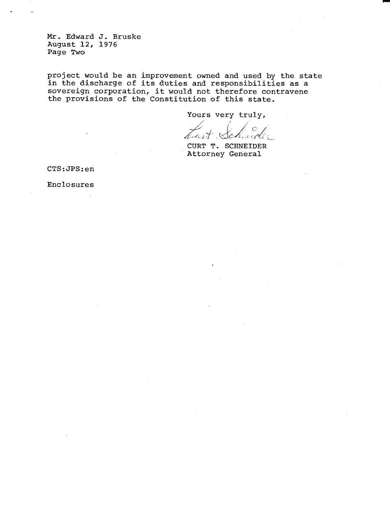Mr. Edward J. Bruske August 12, 1976 Page Two

project would be an improvement owned and used by the state in the discharge of its duties and responsibilities as a sovereign corporation, it would not therefore contravene the provisions of the Constitution of this state.

Yours very truly,

Lust Schude

CURT T. SCHNEIDER Attorney General

CTS:JPS:en

Enclosures